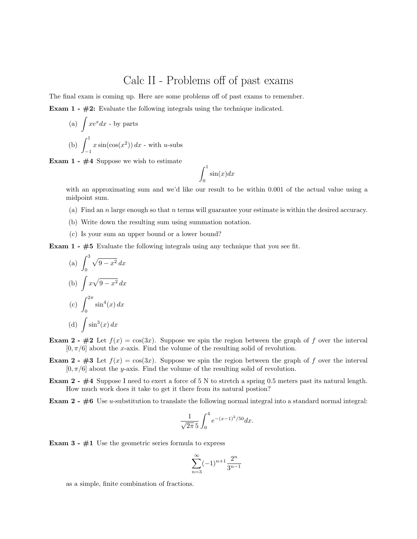## Calc II - Problems off of past exams

The final exam is coming up. Here are some problems off of past exams to remember.

Exam 1 - #2: Evaluate the following integrals using the technique indicated.

(a) 
$$
\int xe^x dx
$$
 - by parts  
\n(b)  $\int_{-1}^{1} x \sin(\cos(x^2)) dx$  - with *u*-subs

Exam  $1 - #4$  Suppose we wish to estimate

$$
\int_0^1 \sin(x) dx
$$

with an approximating sum and we'd like our result to be within 0.001 of the actual value using a midpoint sum.

- (a) Find an n large enough so that n terms will guarantee your estimate is within the desired accuracy.
- (b) Write down the resulting sum using summation notation.
- (c) Is your sum an upper bound or a lower bound?

**Exam 1 -**  $#5$  Evaluate the following integrals using any technique that you see fit.

(a) 
$$
\int_0^3 \sqrt{9 - x^2} \, dx
$$
  
\n(b) 
$$
\int x\sqrt{9 - x^2} \, dx
$$
  
\n(c) 
$$
\int_0^{2\pi} \sin^4(x) \, dx
$$
  
\n(d) 
$$
\int \sin^3(x) \, dx
$$

**Exam 2 - #2** Let  $f(x) = \cos(3x)$ . Suppose we spin the region between the graph of f over the interval  $[0, \pi/6]$  about the x-axis. Find the volume of the resulting solid of revolution.

**Exam 2 - #3** Let  $f(x) = \cos(3x)$ . Suppose we spin the region between the graph of f over the interval  $[0, \pi/6]$  about the y-axis. Find the volume of the resulting solid of revolution.

**Exam 2 - #4** Suppose I need to exert a force of 5 N to stretch a spring 0.5 meters past its natural length. How much work does it take to get it there from its natural postion?

**Exam 2 -**  $\#6$  Use u-substitution to translate the following normal integral into a standard normal integral:

$$
\frac{1}{\sqrt{2\pi}\,5} \int_0^4 e^{-(x-1)^2/50} dx.
$$

**Exam 3 -**  $\#1$  Use the geometric series formula to express

$$
\sum_{n=3}^{\infty}(-1)^{n+1}\frac{2^n}{3^{n-1}}
$$

as a simple, finite combination of fractions.